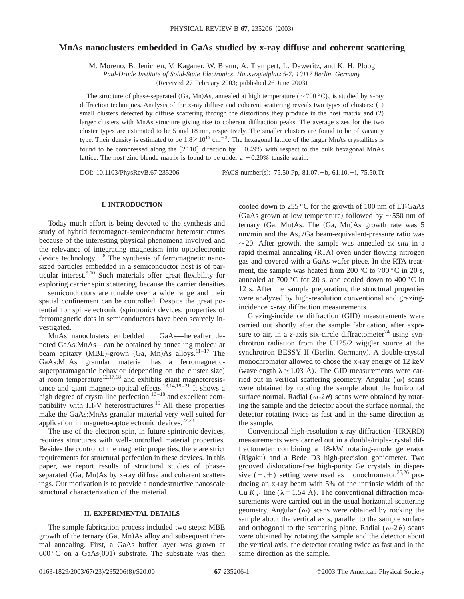# **MnAs nanoclusters embedded in GaAs studied by x-ray diffuse and coherent scattering**

M. Moreno, B. Jenichen, V. Kaganer, W. Braun, A. Trampert, L. Däweritz, and K. H. Ploog

*Paul-Drude Institute of Solid-State Electronics, Hausvogteiplatz 5-7, 10117 Berlin, Germany*

(Received 27 February 2003; published 26 June 2003)

The structure of phase-separated (Ga, Mn)As, annealed at high temperature ( $\sim$ 700 °C), is studied by x-ray diffraction techniques. Analysis of the x-ray diffuse and coherent scattering reveals two types of clusters:  $(1)$ small clusters detected by diffuse scattering through the distortions they produce in the host matrix and  $(2)$ larger clusters with MnAs structure giving rise to coherent diffraction peaks. The average sizes for the two cluster types are estimated to be 5 and 18 nm, respectively. The smaller clusters are found to be of vacancy type. Their density is estimated to be  $1.8 \times 10^{16}$  cm<sup>-3</sup>. The hexagonal lattice of the larger MnAs crystallites is found to be compressed along the  $\left[2110\right]$  direction by  $-0.49\%$  with respect to the bulk hexagonal MnAs lattice. The host zinc blende matrix is found to be under a  $-0.20\%$  tensile strain.

DOI: 10.1103/PhysRevB.67.235206 PACS number(s): 75.50.Pp, 81.07. -b, 61.10. -i, 75.50.Tt

## **I. INTRODUCTION**

Today much effort is being devoted to the synthesis and study of hybrid ferromagnet-semiconductor heterostructures because of the interesting physical phenomena involved and the relevance of integrating magnetism into optoelectronic device technology.<sup>1–8</sup> The synthesis of ferromagnetic nanosized particles embedded in a semiconductor host is of particular interest.9,10 Such materials offer great flexibility for exploring carrier spin scattering, because the carrier densities in semiconductors are tunable over a wide range and their spatial confinement can be controlled. Despite the great potential for spin-electronic (spintronic) devices, properties of ferromagnetic dots in semiconductors have been scarcely investigated.

MnAs nanoclusters embedded in GaAs—hereafter denoted GaAs:MnAs—can be obtained by annealing molecular beam epitaxy (MBE)-grown (Ga, Mn)As alloys. $11-17$  The GaAs:MnAs granular material has a ferromagneticsuperparamagnetic behavior (depending on the cluster size) at room temperature $12,17,18$  and exhibits giant magnetoresistance and giant magneto-optical effects.<sup>13,14,19–21</sup> It shows a high degree of crystalline perfection,  $16-18$  and excellent compatibility with III-V heterostructures.<sup>15</sup> All these properties make the GaAs:MnAs granular material very well suited for application in magneto-optoelectronic devices. $22,23$ 

The use of the electron spin, in future spintronic devices, requires structures with well-controlled material properties. Besides the control of the magnetic properties, there are strict requirements for structural perfection in these devices. In this paper, we report results of structural studies of phaseseparated  $(Ga, Mn)As$  by x-ray diffuse and coherent scatterings. Our motivation is to provide a nondestructive nanoscale structural characterization of the material.

# **II. EXPERIMENTAL DETAILS**

The sample fabrication process included two steps: MBE growth of the ternary  $(Ga, Mn)As$  alloy and subsequent thermal annealing. First, a GaAs buffer layer was grown at 600 °C on a GaAs $(001)$  substrate. The substrate was then cooled down to 255 °C for the growth of 100 nm of LT-GaAs (GaAs grown at low temperature) followed by  $\sim$  550 nm of ternary  $(Ga, Mn)As$ . The  $(Ga, Mn)As$  growth rate was 5 nm/min and the  $As<sub>4</sub>/Ga$  beam-equivalent-pressure ratio was  $\sim$  20. After growth, the sample was annealed *ex situ* in a rapid thermal annealing (RTA) oven under flowing nitrogen gas and covered with a GaAs wafer piece. In the RTA treatment, the sample was heated from 200 °C to 700 °C in 20 s, annealed at  $700\,^{\circ}\text{C}$  for 20 s, and cooled down to  $400\,^{\circ}\text{C}$  in 12 s. After the sample preparation, the structural properties were analyzed by high-resolution conventional and grazingincidence x-ray diffraction measurements.

Grazing-incidence diffraction (GID) measurements were carried out shortly after the sample fabrication, after exposure to air, in a *z*-axis six-circle diffractometer<sup>24</sup> using synchrotron radiation from the U125/2 wiggler source at the synchrotron BESSY II (Berlin, Germany). A double-crystal monochromator allowed to chose the x-ray energy of 12 keV (wavelength  $\lambda \approx 1.03$  Å). The GID measurements were carried out in vertical scattering geometry. Angular  $(\omega)$  scans were obtained by rotating the sample about the horizontal surface normal. Radial ( $\omega$ -2 $\theta$ ) scans were obtained by rotating the sample and the detector about the surface normal, the detector rotating twice as fast and in the same direction as the sample.

Conventional high-resolution x-ray diffraction (HRXRD) measurements were carried out in a double/triple-crystal diffractometer combining a 18-kW rotating-anode generator (Rigaku) and a Bede D3 high-precision goniometer. Two grooved dislocation-free high-purity Ge crystals in dispersive  $(+,+)$  setting were used as monochromator,<sup>25,26</sup> producing an x-ray beam with 5% of the intrinsic width of the Cu  $K_{\alpha 1}$  line ( $\lambda = 1.54$  Å). The conventional diffraction measurements were carried out in the usual horizontal scattering geometry. Angular ( $\omega$ ) scans were obtained by rocking the sample about the vertical axis, parallel to the sample surface and orthogonal to the scattering plane. Radial ( $\omega$ -2 $\theta$ ) scans were obtained by rotating the sample and the detector about the vertical axis, the detector rotating twice as fast and in the same direction as the sample.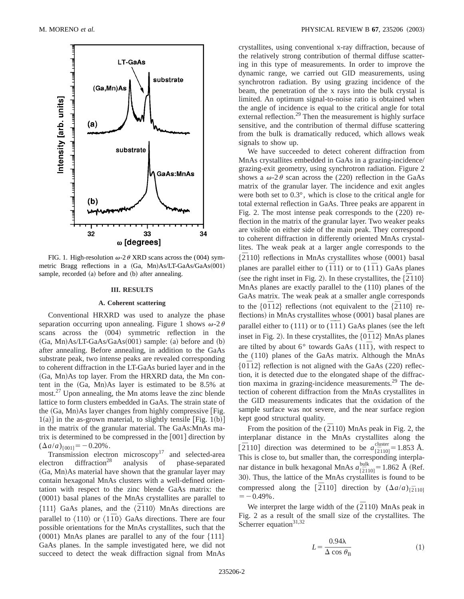

FIG. 1. High-resolution  $\omega$ -2 $\theta$  XRD scans across the (004) symmetric Bragg reflections in a  $(Ga, Mn)As/LT-GaAs/GaAs(001)$ sample, recorded (a) before and (b) after annealing.

#### **III. RESULTS**

#### **A. Coherent scattering**

Conventional HRXRD was used to analyze the phase separation occurring upon annealing. Figure 1 shows  $\omega$ -2 $\theta$ scans across the  $(004)$  symmetric reflection in the  $(Ga, Mn)As/LT-GaAs/GaAs(001) sample: (a) before and (b)$ after annealing. Before annealing, in addition to the GaAs substrate peak, two intense peaks are revealed corresponding to coherent diffraction in the LT-GaAs buried layer and in the  $(Ga, Mn)As$  top layer. From the HRXRD data, the Mn content in the  $(Ga, Mn)As$  layer is estimated to be 8.5% at most.<sup>27</sup> Upon annealing, the Mn atoms leave the zinc blende lattice to form clusters embedded in GaAs. The strain state of the  $(Ga, Mn)As$  layer changes from highly compressive [Fig.  $1(a)$ ] in the as-grown material, to slightly tensile [Fig. 1(b)] in the matrix of the granular material. The GaAs:MnAs matrix is determined to be compressed in the  $[001]$  direction by  $(\Delta a/a)_{[001]} = -0.20\%$ .

Transmission electron microscopy<sup>17</sup> and selected-area electron diffraction<sup>28</sup> analysis of phase-separated (Ga, Mn)As material have shown that the granular layer may contain hexagonal MnAs clusters with a well-defined orientation with respect to the zinc blende GaAs matrix: the (0001) basal planes of the MnAs crystallites are parallel to  $\{111\}$  GaAs planes, and the  $\langle \overline{2}110 \rangle$  MnAs directions are parallel to  $\langle 110 \rangle$  or  $\langle 11\overline{1}0 \rangle$  GaAs directions. There are four possible orientations for the MnAs crystallites, such that the (0001) MnAs planes are parallel to any of the four  $\{111\}$ GaAs planes. In the sample investigated here, we did not succeed to detect the weak diffraction signal from MnAs crystallites, using conventional x-ray diffraction, because of the relatively strong contribution of thermal diffuse scattering in this type of measurements. In order to improve the dynamic range, we carried out GID measurements, using synchrotron radiation. By using grazing incidence of the beam, the penetration of the x rays into the bulk crystal is limited. An optimum signal-to-noise ratio is obtained when the angle of incidence is equal to the critical angle for total external reflection.<sup>29</sup> Then the measurement is highly surface sensitive, and the contribution of thermal diffuse scattering from the bulk is dramatically reduced, which allows weak signals to show up.

We have succeeded to detect coherent diffraction from MnAs crystallites embedded in GaAs in a grazing-incidence/ grazing-exit geometry, using synchrotron radiation. Figure 2 shows a  $\omega$ -2 $\theta$  scan across the (220) reflection in the GaAs matrix of the granular layer. The incidence and exit angles were both set to 0.3°, which is close to the critical angle for total external reflection in GaAs. Three peaks are apparent in Fig. 2. The most intense peak corresponds to the (220) reflection in the matrix of the granular layer. Two weaker peaks are visible on either side of the main peak. They correspond to coherent diffraction in differently oriented MnAs crystallites. The weak peak at a larger angle corresponds to the  $\{2110\}$  reflections in MnAs crystallites whose (0001) basal planes are parallel either to  $(\overline{1}11)$  or to  $(1\overline{1}1)$  GaAs planes  $\frac{1}{2}$  (see the right inset in Fig. 2). In these crystallites, the  $\{2\overline{1}10\}$ MnAs planes are exactly parallel to the (110) planes of the GaAs matrix. The weak peak at a smaller angle corresponds to the  $\{0\overline{1}12\}$  reflections (not equivalent to the  $\{\overline{2}110\}$  reflections) in MnAs crystallites whose (0001) basal planes are parallel either to  $(111)$  or to  $(\overline{111})$  GaAs planes (see the left inset in Fig. 2). In these crystallites, the  ${0\overline{1}12}$  MnAs planes are tilted by about  $6^{\circ}$  towards GaAs  $(11\bar{1})$ , with respect to the (110) planes of the GaAs matrix. Although the MnAs  ${0\overline{1}12}$  reflection is not aligned with the GaAs (220) reflection, it is detected due to the elongated shape of the diffraction maxima in grazing-incidence measurements. $29$  The detection of coherent diffraction from the MnAs crystallites in the GID measurements indicates that the oxidation of the sample surface was not severe, and the near surface region kept good structural quality.

From the position of the  $(2110)$  MnAs peak in Fig. 2, the interplanar distance in the MnAs crystallites along the  $\left[\overline{2}110\right]$  direction was determined to be  $a_{\left[\overline{2}110\right]}^{\text{cluster}} = 1.853$  Å. This is close to, but smaller than, the corresponding interplanar distance in bulk hexagonal MnAs  $a_{\overline{2}}^{\text{bulk}} = 1.862 \text{ Å}$  (Ref. 30). Thus, the lattice of the MnAs crystallites is found to be compressed along the  $\left[\overline{2}110\right]$  direction by  $\left(\Delta a/a\right)_{\left[\overline{2}110\right]}$  $=$   $-0.49\%$ .

We interpret the large width of the  $(\overline{2}110)$  MnAs peak in Fig. 2 as a result of the small size of the crystallites. The Scherrer equation $31,32$ 

$$
L = \frac{0.94\lambda}{\Delta \cos \theta_{\rm B}}
$$
 (1)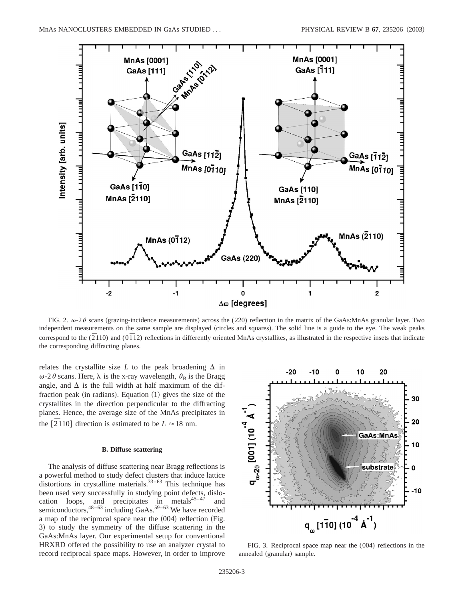

FIG. 2.  $\omega$ -2 $\theta$  scans (grazing-incidence measurements) across the (220) reflection in the matrix of the GaAs:MnAs granular layer. Two independent measurements on the same sample are displayed (circles and squares). The solid line is a guide to the eye. The weak peaks correspond to the  $(\overline{2}110)$  and  $(0\overline{1}12)$  reflections in differently oriented MnAs crystallites, as illustrated in the respective insets that indicate the corresponding diffracting planes.

relates the crystallite size  $L$  to the peak broadening  $\Delta$  in  $\omega$ -2 $\theta$  scans. Here,  $\lambda$  is the x-ray wavelength,  $\theta$ <sub>B</sub> is the Bragg angle, and  $\Delta$  is the full width at half maximum of the diffraction peak (in radians). Equation  $(1)$  gives the size of the crystallites in the direction perpendicular to the diffracting planes. Hence, the average size of the MnAs precipitates in the  $\left[ 2110 \right]$  direction is estimated to be  $L \approx 18$  nm.

# **B. Diffuse scattering**

The analysis of diffuse scattering near Bragg reflections is a powerful method to study defect clusters that induce lattice distortions in crystalline materials. $33-63$  This technique has been used very successfully in studying point defects, dislocation loops, and precipitates in metals $45-47$  and semiconductors,  $48-63$  including GaAs.<sup>59–63</sup> We have recorded a map of the reciprocal space near the  $(004)$  reflection (Fig. 3) to study the symmetry of the diffuse scattering in the GaAs:MnAs layer. Our experimental setup for conventional HRXRD offered the possibility to use an analyzer crystal to record reciprocal space maps. However, in order to improve



FIG. 3. Reciprocal space map near the (004) reflections in the annealed (granular) sample.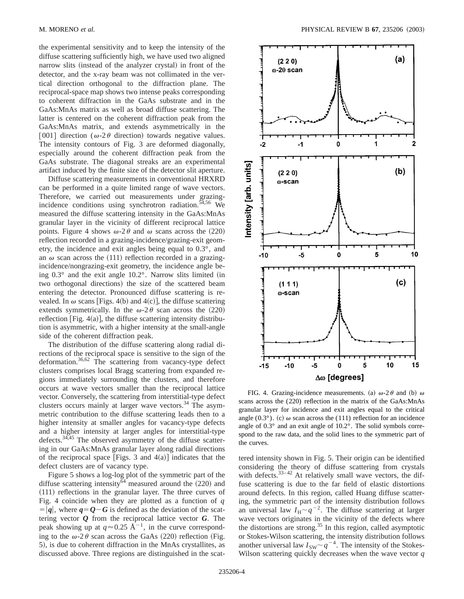the experimental sensitivity and to keep the intensity of the diffuse scattering sufficiently high, we have used two aligned narrow slits (instead of the analyzer crystal) in front of the detector, and the x-ray beam was not collimated in the vertical direction orthogonal to the diffraction plane. The reciprocal-space map shows two intense peaks corresponding to coherent diffraction in the GaAs substrate and in the GaAs:MnAs matrix as well as broad diffuse scattering. The latter is centered on the coherent diffraction peak from the GaAs:MnAs matrix, and extends asymmetrically in the [001] direction ( $\omega$ -2 $\theta$  direction) towards negative values. The intensity contours of Fig. 3 are deformed diagonally, especially around the coherent diffraction peak from the GaAs substrate. The diagonal streaks are an experimental artifact induced by the finite size of the detector slit aperture.

Diffuse scattering measurements in conventional HRXRD can be performed in a quite limited range of wave vectors. Therefore, we carried out measurements under grazingincidence conditions using synchrotron radiation.<sup>54,56</sup> We measured the diffuse scattering intensity in the GaAs:MnAs granular layer in the vicinity of different reciprocal lattice points. Figure 4 shows  $\omega$ -2 $\theta$  and  $\omega$  scans across the (220) reflection recorded in a grazing-incidence/grazing-exit geometry, the incidence and exit angles being equal to 0.3°, and an  $\omega$  scan across the (111) reflection recorded in a grazingincidence/nongrazing-exit geometry, the incidence angle being  $0.3^\circ$  and the exit angle  $10.2^\circ$ . Narrow slits limited (in two orthogonal directions) the size of the scattered beam entering the detector. Pronounced diffuse scattering is revealed. In  $\omega$  scans [Figs. 4(b) and 4(c)], the diffuse scattering extends symmetrically. In the  $\omega$ -2 $\theta$  scan across the (220) reflection  $[Fig. 4(a)]$ , the diffuse scattering intensity distribution is asymmetric, with a higher intensity at the small-angle side of the coherent diffraction peak.

The distribution of the diffuse scattering along radial directions of the reciprocal space is sensitive to the sign of the deformation.36,62 The scattering from vacancy-type defect clusters comprises local Bragg scattering from expanded regions immediately surrounding the clusters, and therefore occurs at wave vectors smaller than the reciprocal lattice vector. Conversely, the scattering from interstitial-type defect clusters occurs mainly at larger wave vectors.<sup>34</sup> The asymmetric contribution to the diffuse scattering leads then to a higher intensity at smaller angles for vacancy-type defects and a higher intensity at larger angles for interstitial-type defects.<sup>34,45</sup> The observed asymmetry of the diffuse scattering in our GaAs:MnAs granular layer along radial directions of the reciprocal space [Figs. 3 and  $4(a)$ ] indicates that the defect clusters are of vacancy type.

Figure 5 shows a log-log plot of the symmetric part of the diffuse scattering intensity $\overline{64}$  measured around the (220) and  $(111)$  reflections in the granular layer. The three curves of Fig. 4 coincide when they are plotted as a function of *q*  $= |q|$ , where  $q = Q - G$  is defined as the deviation of the scattering vector *Q* from the reciprocal lattice vector *G*. The peak showing up at  $q \approx 0.25 \text{ Å}^{-1}$ , in the curve corresponding to the  $\omega$ -2 $\theta$  scan across the GaAs (220) reflection (Fig. 5), is due to coherent diffraction in the MnAs crystallites, as discussed above. Three regions are distinguished in the scat-



FIG. 4. Grazing-incidence measurements. (a)  $\omega$ -2 $\theta$  and (b)  $\omega$ scans across the (220) reflection in the matrix of the GaAs:MnAs granular layer for incidence and exit angles equal to the critical angle (0.3°). (c)  $\omega$  scan across the (111) reflection for an incidence angle of 0.3° and an exit angle of 10.2°. The solid symbols correspond to the raw data, and the solid lines to the symmetric part of the curves.

tered intensity shown in Fig. 5. Their origin can be identified considering the theory of diffuse scattering from crystals with defects. $33-42$  At relatively small wave vectors, the diffuse scattering is due to the far field of elastic distortions around defects. In this region, called Huang diffuse scattering, the symmetric part of the intensity distribution follows an universal law  $I_H \sim q^{-2}$ . The diffuse scattering at larger wave vectors originates in the vicinity of the defects where the distortions are strong.<sup>35</sup> In this region, called asymptotic or Stokes-Wilson scattering, the intensity distribution follows another universal law  $I_{SW} \sim q^{-4}$ . The intensity of the Stokes-Wilson scattering quickly decreases when the wave vector *q*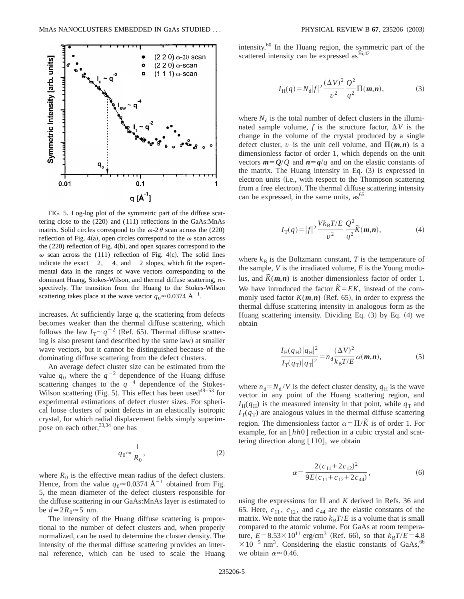

FIG. 5. Log-log plot of the symmetric part of the diffuse scattering close to the (220) and (111) reflections in the GaAs:MnAs matrix. Solid circles correspond to the  $\omega$ -2 $\theta$  scan across the (220) reflection of Fig. 4(a), open circles correspond to the  $\omega$  scan across the  $(220)$  reflection of Fig.  $4(b)$ , and open squares correspond to the  $\omega$  scan across the (111) reflection of Fig. 4(c). The solid lines indicate the exact  $-2$ ,  $-4$ , and  $-2$  slopes, which fit the experimental data in the ranges of wave vectors corresponding to the dominant Huang, Stokes-Wilson, and thermal diffuse scattering, respectively. The transition from the Huang to the Stokes-Wilson scattering takes place at the wave vector  $q_0 \approx 0.0374 \text{ Å}^{-1}$ .

increases. At sufficiently large *q*, the scattering from defects becomes weaker than the thermal diffuse scattering, which follows the law  $I_T \sim q^{-2}$  (Ref. 65). Thermal diffuse scattering is also present (and described by the same law) at smaller wave vectors, but it cannot be distinguished because of the dominating diffuse scattering from the defect clusters.

An average defect cluster size can be estimated from the value  $q_0$  where the  $q^{-2}$  dependence of the Huang diffuse scattering changes to the  $q^{-4}$  dependence of the Stokes-Wilson scattering (Fig. 5). This effect has been used<sup>49–53</sup> for experimental estimations of defect cluster sizes. For spherical loose clusters of point defects in an elastically isotropic crystal, for which radial displacement fields simply superimpose on each other,  $33,34$  one has

$$
q_0 \approx \frac{1}{R_0},\tag{2}
$$

where  $R_0$  is the effective mean radius of the defect clusters. Hence, from the value  $q_0 \approx 0.0374 \text{ Å}^{-1}$  obtained from Fig. 5, the mean diameter of the defect clusters responsible for the diffuse scattering in our GaAs:MnAs layer is estimated to be  $d=2R_0 \approx 5$  nm.

The intensity of the Huang diffuse scattering is proportional to the number of defect clusters and, when properly normalized, can be used to determine the cluster density. The intensity of the thermal diffuse scattering provides an internal reference, which can be used to scale the Huang intensity.60 In the Huang region, the symmetric part of the scattered intensity can be expressed  $\text{as}^{36,42}$ 

$$
I_{\rm H}(q) = N_{\rm d}|f|^{2} \frac{(\Delta V)^{2}}{v^{2}} \frac{Q^{2}}{q^{2}} \Pi(m, n), \tag{3}
$$

where  $N_d$  is the total number of defect clusters in the illuminated sample volume,  $f$  is the structure factor,  $\Delta V$  is the change in the volume of the crystal produced by a single defect cluster, *v* is the unit cell volume, and  $\Pi(m,n)$  is a dimensionless factor of order 1, which depends on the unit vectors  $m = Q/Q$  and  $n = q/q$  and on the elastic constants of the matrix. The Huang intensity in Eq.  $(3)$  is expressed in electron units (i.e., with respect to the Thompson scattering from a free electron). The thermal diffuse scattering intensity can be expressed, in the same units,  $as^{65}$ 

$$
I_{\rm T}(q) = |f|^2 \frac{V k_{\rm B} T/E}{v^2} \frac{Q^2}{q^2} \widetilde{K}(m, n), \tag{4}
$$

where  $k_B$  is the Boltzmann constant,  $T$  is the temperature of the sample, *V* is the irradiated volume, *E* is the Young modulus, and  $\tilde{K}(m,n)$  is another dimensionless factor of order 1. We have introduced the factor  $\tilde{K} = E K$ , instead of the commonly used factor  $K(m,n)$  (Ref. 65), in order to express the thermal diffuse scattering intensity in analogous form as the Huang scattering intensity. Dividing Eq.  $(3)$  by Eq.  $(4)$  we obtain

$$
\frac{I_{\rm H}(q_{\rm H})|q_{\rm H}|^2}{I_{\rm T}(q_{\rm T})|q_{\rm T}|^2} = n_{\rm d} \frac{(\Delta V)^2}{k_{\rm B}T/E} \alpha(m,n),\tag{5}
$$

where  $n_d = N_d / V$  is the defect cluster density,  $q_H$  is the wave vector in any point of the Huang scattering region, and  $I_{\rm H}(q_{\rm H})$  is the measured intensity in that point, while  $q_{\rm T}$  and  $I_T(q_T)$  are analogous values in the thermal diffuse scattering region. The dimensionless factor  $\alpha = \Pi/\tilde{K}$  is of order 1. For example, for an [hh0] reflection in a cubic crystal and scattering direction along  $[110]$ , we obtain

$$
\alpha = \frac{2(c_{11} + 2c_{12})^2}{9E(c_{11} + c_{12} + 2c_{44})},\tag{6}
$$

using the expressions for  $\Pi$  and *K* derived in Refs. 36 and 65. Here,  $c_{11}$ ,  $c_{12}$ , and  $c_{44}$  are the elastic constants of the matrix. We note that the ratio  $k_B T/E$  is a volume that is small compared to the atomic volume. For GaAs at room temperature,  $E = 8.53 \times 10^{11} \text{ erg/cm}^3$  (Ref. 66), so that  $k_B T/E = 4.8$  $\times 10^{-5}$  nm<sup>3</sup>. Considering the elastic constants of GaAs,<sup>66</sup> we obtain  $\alpha \approx 0.46$ .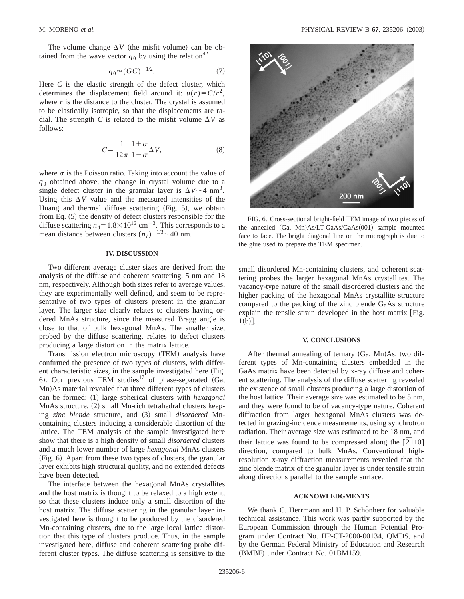The volume change  $\Delta V$  (the misfit volume) can be obtained from the wave vector  $q_0$  by using the relation<sup>42</sup>

$$
q_0 \approx (GC)^{-1/2}.\tag{7}
$$

Here  $C$  is the elastic strength of the defect cluster, which determines the displacement field around it:  $u(r) = C/r^2$ , where  $r$  is the distance to the cluster. The crystal is assumed to be elastically isotropic, so that the displacements are radial. The strength *C* is related to the misfit volume  $\Delta V$  as follows:

$$
C = \frac{1}{12\pi} \frac{1+\sigma}{1-\sigma} \Delta V,\tag{8}
$$

where  $\sigma$  is the Poisson ratio. Taking into account the value of  $q<sub>0</sub>$  obtained above, the change in crystal volume due to a single defect cluster in the granular layer is  $\Delta V \sim 4$  nm<sup>3</sup>. Using this  $\Delta V$  value and the measured intensities of the Huang and thermal diffuse scattering  $(Fig. 5)$ , we obtain from Eq.  $(5)$  the density of defect clusters responsible for the diffuse scattering  $n_d=1.8\times10^{16}$  cm<sup>-3</sup>. This corresponds to a mean distance between clusters  $(n_d)^{-1/3}$   $\sim$  40 nm.

### **IV. DISCUSSION**

Two different average cluster sizes are derived from the analysis of the diffuse and coherent scattering, 5 nm and 18 nm, respectively. Although both sizes refer to average values, they are experimentally well defined, and seem to be representative of two types of clusters present in the granular layer. The larger size clearly relates to clusters having ordered MnAs structure, since the measured Bragg angle is close to that of bulk hexagonal MnAs. The smaller size, probed by the diffuse scattering, relates to defect clusters producing a large distortion in the matrix lattice.

Transmission electron microscopy (TEM) analysis have confirmed the presence of two types of clusters, with different characteristic sizes, in the sample investigated here (Fig. 6). Our previous TEM studies<sup>17</sup> of phase-separated  $(Ga)$ , Mn)As material revealed that three different types of clusters can be formed: (1) large spherical clusters with *hexagonal*  $MnAs$  structure,  $(2)$  small Mn-rich tetrahedral clusters keeping *zinc blende* structure, and (3) small *disordered* Mncontaining clusters inducing a considerable distortion of the lattice. The TEM analysis of the sample investigated here show that there is a high density of small *disordered* clusters and a much lower number of large *hexagonal* MnAs clusters (Fig. 6). Apart from these two types of clusters, the granular layer exhibits high structural quality, and no extended defects have been detected.

The interface between the hexagonal MnAs crystallites and the host matrix is thought to be relaxed to a high extent, so that these clusters induce only a small distortion of the host matrix. The diffuse scattering in the granular layer investigated here is thought to be produced by the disordered Mn-containing clusters, due to the large local lattice distortion that this type of clusters produce. Thus, in the sample investigated here, diffuse and coherent scattering probe different cluster types. The diffuse scattering is sensitive to the



FIG. 6. Cross-sectional bright-field TEM image of two pieces of the annealed  $(Ga, Mn)As/LT-GaAs/GaAs(001)$  sample mounted face to face. The bright diagonal line on the micrograph is due to the glue used to prepare the TEM specimen.

small disordered Mn-containing clusters, and coherent scattering probes the larger hexagonal MnAs crystallites. The vacancy-type nature of the small disordered clusters and the higher packing of the hexagonal MnAs crystallite structure compared to the packing of the zinc blende GaAs structure explain the tensile strain developed in the host matrix  $[Fig.$  $1(b)$ ].

#### **V. CONCLUSIONS**

After thermal annealing of ternary  $(Ga, Mn)As$ , two different types of Mn-containing clusters embedded in the GaAs matrix have been detected by x-ray diffuse and coherent scattering. The analysis of the diffuse scattering revealed the existence of small clusters producing a large distortion of the host lattice. Their average size was estimated to be 5 nm, and they were found to be of vacancy-type nature. Coherent diffraction from larger hexagonal MnAs clusters was detected in grazing-incidence measurements, using synchrotron radiation. Their average size was estimated to be 18 nm, and their lattice was found to be compressed along the [2110] direction, compared to bulk MnAs. Conventional highresolution x-ray diffraction measurements revealed that the zinc blende matrix of the granular layer is under tensile strain along directions parallel to the sample surface.

## **ACKNOWLEDGMENTS**

We thank C. Herrmann and H. P. Schönherr for valuable technical assistance. This work was partly supported by the European Commission through the Human Potential Program under Contract No. HP-CT-2000-00134, QMDS, and by the German Federal Ministry of Education and Research (BMBF) under Contract No. 01BM159.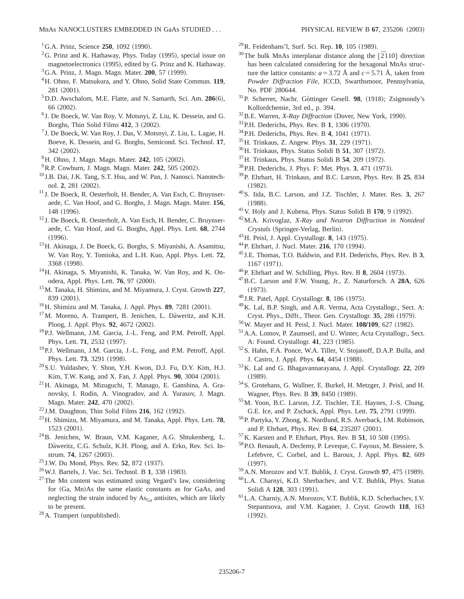- ${}^{2}$ G. Prinz and K. Hathaway, Phys. Today (1995), special issue on magnetoelectronics (1995), edited by G. Prinz and K. Hathaway.
- <sup>3</sup>G.A. Prinz, J. Magn. Magn. Mater. **200**, 57 (1999).
- 4H. Ohno, F. Matsukura, and Y. Ohno, Solid State Commun. **119**, 281 (2001).
- $5$ D.D. Awschalom, M.E. Flatte, and N. Samarth, Sci. Am.  $286(6)$ , 66 (2002).
- <sup>6</sup> J. De Boeck, W. Van Roy, V. Motsnyi, Z. Liu, K. Dessein, and G. Borghs, Thin Solid Films **412**, 3 (2002).
- <sup>7</sup> J. De Boeck, W. Van Roy, J. Das, V. Motsnyi, Z. Liu, L. Lagae, H. Boeve, K. Dessein, and G. Borghs, Semicond. Sci. Technol. **17**, 342 (2002).
- <sup>8</sup>H. Ohno, J. Magn. Magn. Mater. **242**, 105 (2002).
- <sup>9</sup> R.P. Cowburn, J. Magn. Magn. Mater. **242**, 505 (2002).
- <sup>10</sup> J.B. Dai, J.K. Tang, S.T. Hsu, and W. Pan, J. Nanosci. Nanotechnol. 2, 281 (2002).
- <sup>11</sup> J. De Boeck, R. Oesterholt, H. Bender, A. Van Esch, C. Bruynseraede, C. Van Hoof, and G. Borghs, J. Magn. Magn. Mater. **156**, 148 (1996).
- <sup>12</sup> J. De Boeck, R. Oesterholt, A. Van Esch, H. Bender, C. Bruynseraede, C. Van Hoof, and G. Borghs, Appl. Phys. Lett. **68**, 2744  $(1996)$ .
- 13H. Akinaga, J. De Boeck, G. Borghs, S. Miyanishi, A. Asamitsu, W. Van Roy, Y. Tomioka, and L.H. Kuo, Appl. Phys. Lett. **72**, 3368 (1998).
- <sup>14</sup>H. Akinaga, S. Miyanishi, K. Tanaka, W. Van Roy, and K. Onodera, Appl. Phys. Lett. **76**, 97 (2000).
- 15M. Tanaka, H. Shimizu, and M. Miyamura, J. Cryst. Growth **227**, 839 (2001).
- <sup>16</sup>H. Shimizu and M. Tanaka, J. Appl. Phys. **89**, 7281 (2001).
- $17$ M. Moreno, A. Trampert, B. Jenichen, L. Däweritz, and K.H. Ploog, J. Appl. Phys. 92, 4672 (2002).
- <sup>18</sup>P.J. Wellmann, J.M. Garcia, J.-L. Feng, and P.M. Petroff, Appl. Phys. Lett. **71**, 2532 (1997).
- <sup>19</sup>P.J. Wellmann, J.M. Garcia, J.-L. Feng, and P.M. Petroff, Appl. Phys. Lett. **73**, 3291 (1998).
- 20S.U. Yuldashev, Y. Shon, Y.H. Kwon, D.J. Fu, D.Y. Kim, H.J. Kim, T.W. Kang, and X. Fan, J. Appl. Phys. **90**, 3004 (2001).
- 21H. Akinaga, M. Mizuguchi, T. Manago, E. Ganshina, A. Granovsky, I. Rodin, A. Vinogradov, and A. Yurasov, J. Magn. Magn. Mater. 242, 470 (2002).
- <sup>22</sup> J.M. Daughton, Thin Solid Films **216**, 162 (1992).
- 23H. Shimizu, M. Miyamura, and M. Tanaka, Appl. Phys. Lett. **78**,  $1523 (2001).$
- 24B. Jenichen, W. Braun, V.M. Kaganer, A.G. Shtukenberg, L. Däweritz, C.G. Schulz, K.H. Ploog, and A. Erko, Rev. Sci. Instrum. **74**, 1267 (2003).
- <sup>25</sup> J.W. Du Mond, Phys. Rev. **52**, 872 (1937).
- <sup>26</sup> W.J. Bartels, J. Vac. Sci. Technol. B 1, 338 (1983).
- $27$ The Mn content was estimated using Vegard's law, considering for (Ga, Mn)As the same elastic constants as for GaAs, and neglecting the strain induced by  $\text{As}_{\text{Ga}}$  antisites, which are likely to be present.
- $28$  A. Trampert (unpublished).
- <sup>29</sup> R. Feidenhans'l, Surf. Sci. Rep. **10**, 105 (1989).
- <sup>30</sup>The bulk MnAs interplanar distance along the  $\left[2110\right]$  direction has been calculated considering for the hexagonal MnAs structure the lattice constants:  $a = 3.72$  Å and  $c = 5.71$  Å, taken from *Powder Diffraction File*, ICCD, Swarthsmoor, Pennsylvania, No. PDF 280644.
- <sup>31</sup>P. Scherrer, Nachr. Göttinger Gesell. 98, (1918); Zsigmondy's Kollordchemie, 3rd ed., p. 394.
- <sup>32</sup> B.E. Warren, *X-Ray Diffraction* (Dover, New York, 1990).
- <sup>33</sup> P.H. Dederichs, Phys. Rev. B 1, 1306 (1970).
- <sup>34</sup> P.H. Dederichs, Phys. Rev. B **4**, 1041 (1971).
- $^{35}$ H. Trinkaus, Z. Angew. Phys. 31, 229  $(1971)$ .
- <sup>36</sup>H. Trinkaus, Phys. Status Solidi B **51**, 307 (1972).
- <sup>37</sup>H. Trinkaus, Phys. Status Solidi B **54**, 209 (1972).
- <sup>38</sup> P.H. Dederichs, J. Phys. F: Met. Phys. 3, 471 (1973).
- 39P. Ehrhart, H. Trinkaus, and B.C. Larson, Phys. Rev. B **25**, 834  $(1982).$
- 40S. Iida, B.C. Larson, and J.Z. Tischler, J. Mater. Res. **3**, 267  $(1988).$
- $41$  V. Holy and J. Kubena, Phys. Status Solidi B  $170$ , 9 (1992).
- 42M.A. Krivoglaz, *X-Ray and Neutron Diffraction in Nonideal Crystals* (Springer-Verlag, Berlin).
- <sup>43</sup> H. Peisl, J. Appl. Crystallogr. **8**, 143 (1975).
- <sup>44</sup>P. Ehrhart, J. Nucl. Mater. **216**, 170 (1994).
- <sup>45</sup> J.E. Thomas, T.O. Baldwin, and P.H. Dederichs, Phys. Rev. B **3**, 1167 (1971).
- <sup>46</sup>P. Ehrhart and W. Schilling, Phys. Rev. B **8**, 2604 (1973).
- 47B.C. Larson and F.W. Young, Jr., Z. Naturforsch. A **28A**, 626  $(1973).$
- <sup>48</sup> J.R. Patel, Appl. Crystallogr. 8, 186 (1975).
- 49K. Lal, B.P. Singh, and A.R. Verma, Acta Crystallogr., Sect. A: Cryst. Phys., Diffr., Theor. Gen. Crystallogr. 35, 286 (1979).
- <sup>50</sup>W. Mayer and H. Peisl, J. Nucl. Mater. **108/109**, 627 (1982).
- <sup>51</sup> A.A. Lomov, P. Zaumseil, and U. Winter, Acta Crystallogr., Sect. A: Found. Crystallogr. **41**, 223 (1985).
- 52S. Hahn, F.A. Ponce, W.A. Tiller, V. Stojanoff, D.A.P. Bulla, and J. Castro, J. Appl. Phys. **64**, 4454 (1988).
- 53K. Lal and G. Bhagavannarayana, J. Appl. Crystallogr. **22**, 209  $(1989).$
- 54S. Grotehans, G. Wallner, E. Burkel, H. Metzger, J. Peisl, and H. Wagner, Phys. Rev. B 39, 8450 (1989).
- 55M. Yoon, B.C. Larson, J.Z. Tischler, T.E. Haynes, J.-S. Chung, G.E. Ice, and P. Zschack, Appl. Phys. Lett. **75**, 2791 (1999).
- 56P. Partyka, Y. Zhong, K. Nordlund, R.S. Averback, I.M. Robinson, and P. Ehrhart, Phys. Rev. B 64, 235207 (2001).
- <sup>57</sup>K. Karsten and P. Ehrhart, Phys. Rev. B **51**, 10 508 (1995).
- 58P.O. Renault, A. Declemy, P. Leveque, C. Fayoux, M. Bessiere, S. Lefebvre, C. Corbel, and L. Baroux, J. Appl. Phys. **82**, 609  $(1997).$
- <sup>59</sup> A.N. Morozov and V.T. Bublik, J. Cryst. Growth 97, 475 (1989).
- 60L.A. Charnyi, K.D. Sherbachev, and V.T. Bublik, Phys. Status Solidi A 128, 303 (1991).
- 61L.A. Charniy, A.N. Morozov, V.T. Bublik, K.D. Scherbachev, I.V. Stepantsova, and V.M. Kaganer, J. Cryst. Growth **118**, 163  $(1992).$

 ${}^{1}$ G.A. Prinz, Science 250, 1092 (1990).